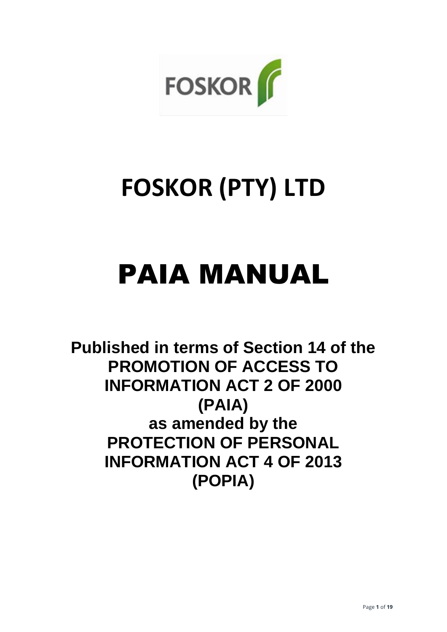

# **FOSKOR (PTY) LTD**

# PAIA MANUAL

**Published in terms of Section 14 of the PROMOTION OF ACCESS TO INFORMATION ACT 2 OF 2000 (PAIA) as amended by the PROTECTION OF PERSONAL INFORMATION ACT 4 OF 2013 (POPIA)**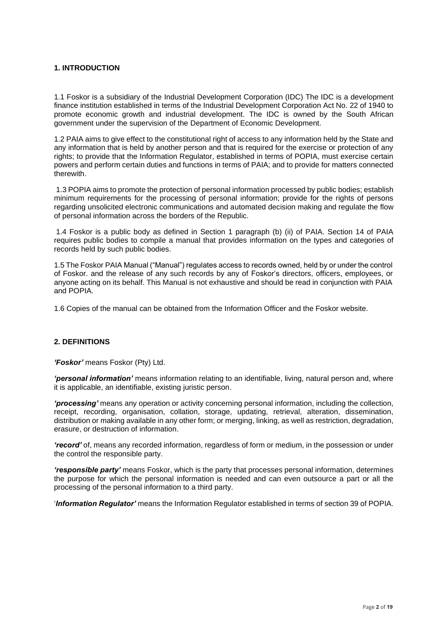## **1. INTRODUCTION**

1.1 Foskor is a subsidiary of the Industrial Development Corporation (IDC) The IDC is a development finance institution established in terms of the Industrial Development Corporation Act No. 22 of 1940 to promote economic growth and industrial development. The IDC is owned by the South African government under the supervision of the Department of Economic Development.

1.2 PAIA aims to give effect to the constitutional right of access to any information held by the State and any information that is held by another person and that is required for the exercise or protection of any rights; to provide that the Information Regulator, established in terms of POPIA, must exercise certain powers and perform certain duties and functions in terms of PAIA; and to provide for matters connected therewith.

1.3 POPIA aims to promote the protection of personal information processed by public bodies; establish minimum requirements for the processing of personal information; provide for the rights of persons regarding unsolicited electronic communications and automated decision making and regulate the flow of personal information across the borders of the Republic.

1.4 Foskor is a public body as defined in Section 1 paragraph (b) (ii) of PAIA. Section 14 of PAIA requires public bodies to compile a manual that provides information on the types and categories of records held by such public bodies.

1.5 The Foskor PAIA Manual ("Manual") regulates access to records owned, held by or under the control of Foskor. and the release of any such records by any of Foskor's directors, officers, employees, or anyone acting on its behalf. This Manual is not exhaustive and should be read in conjunction with PAIA and POPIA.

1.6 Copies of the manual can be obtained from the Information Officer and the Foskor website.

## **2. DEFINITIONS**

*'Foskor'* means Foskor (Pty) Ltd.

*'personal information'* means information relating to an identifiable, living, natural person and, where it is applicable, an identifiable, existing juristic person.

*'processing'* means any operation or activity concerning personal information, including the collection, receipt, recording, organisation, collation, storage, updating, retrieval, alteration, dissemination, distribution or making available in any other form; or merging, linking, as well as restriction, degradation, erasure, or destruction of information.

*'record'* of, means any recorded information, regardless of form or medium, in the possession or under the control the responsible party.

*'responsible party'* means Foskor, which is the party that processes personal information, determines the purpose for which the personal information is needed and can even outsource a part or all the processing of the personal information to a third party.

'*Information Regulator'* means the Information Regulator established in terms of section 39 of POPIA.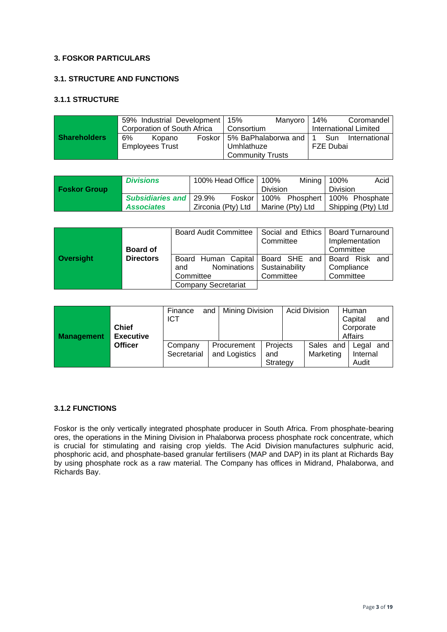## **3. FOSKOR PARTICULARS**

# **3.1. STRUCTURE AND FUNCTIONS**

#### **3.1.1 STRUCTURE**

|                     | 59% Industrial Development   15% |        |                         |                                  | Manyoro | 14%       |                       | Coromandel        |
|---------------------|----------------------------------|--------|-------------------------|----------------------------------|---------|-----------|-----------------------|-------------------|
|                     | Corporation of South Africa      |        | Consortium              |                                  |         |           | International Limited |                   |
| <b>Shareholders</b> | 6%                               | Kopano |                         | Foskor   5% BaPhalaborwa and   1 |         |           |                       | Sun International |
|                     | <b>Employees Trust</b>           |        | Umhlathuze              |                                  |         | FZE Dubai |                       |                   |
|                     |                                  |        | <b>Community Trusts</b> |                                  |         |           |                       |                   |

|                     | <b>Divisions</b>                | 100% Head Office   100% |                 | Mining $  100\%$ |                 | Acid                                     |
|---------------------|---------------------------------|-------------------------|-----------------|------------------|-----------------|------------------------------------------|
| <b>Foskor Group</b> |                                 |                         | <b>Division</b> |                  | <b>Division</b> |                                          |
|                     | <b>Subsidiaries and   29.9%</b> |                         |                 |                  |                 | Foskor   100% Phosphert   100% Phosphate |
|                     | <b>Associates</b>               | Zirconia (Pty) Ltd      |                 | Marine (Ptv) Ltd |                 | Shipping (Pty) Ltd                       |

|           |                  |           | Board Audit Committee   Social and Ethics   Board Turnaround |                              | Committee |  | Implementation        |  |
|-----------|------------------|-----------|--------------------------------------------------------------|------------------------------|-----------|--|-----------------------|--|
|           | <b>Board of</b>  |           |                                                              |                              |           |  | Committee             |  |
| Oversight | <b>Directors</b> |           | Board Human Capital   Board SHE and                          |                              |           |  | <b>Board Risk and</b> |  |
|           |                  | and       |                                                              | Nominations   Sustainability |           |  | Compliance            |  |
|           |                  | Committee |                                                              |                              | Committee |  | Committee             |  |
|           |                  |           | <b>Company Secretariat</b>                                   |                              |           |  |                       |  |

| <b>Management</b> | <b>Chief</b><br><b>Executive</b><br><b>Officer</b> | Finance<br>and<br><b>ICT</b> |  | Mining Division              |                             | <b>Acid Division</b> |                        | Human<br>Capital<br>and<br>Corporate<br>Affairs |                            |
|-------------------|----------------------------------------------------|------------------------------|--|------------------------------|-----------------------------|----------------------|------------------------|-------------------------------------------------|----------------------------|
|                   |                                                    | Company<br>Secretarial       |  | Procurement<br>and Logistics | Projects<br>and<br>Strategy |                      | Sales and<br>Marketing |                                                 | Legal<br>Internal<br>Audit |

# **3.1.2 FUNCTIONS**

Foskor is the only vertically integrated phosphate producer in South Africa. From phosphate-bearing ores, the operations in the Mining Division in Phalaborwa process phosphate rock concentrate, which is crucial for stimulating and raising crop yields. The Acid Division manufactures sulphuric acid, phosphoric acid, and phosphate-based granular fertilisers (MAP and DAP) in its plant at Richards Bay by using phosphate rock as a raw material. The Company has offices in Midrand, Phalaborwa, and Richards Bay.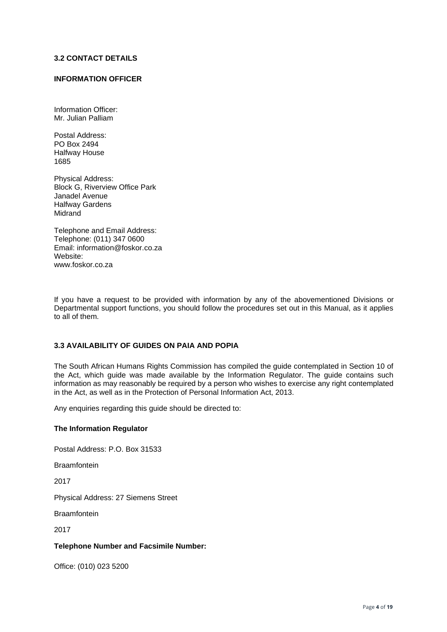#### **3.2 CONTACT DETAILS**

#### **INFORMATION OFFICER**

Information Officer: Mr. Julian Palliam

Postal Address: PO Box 2494 Halfway House 1685

Physical Address: Block G, Riverview Office Park Janadel Avenue Halfway Gardens **Midrand** 

Telephone and Email Address: Telephone: (011) 347 0600 Email: information@foskor.co.za Website: www.foskor.co.za

If you have a request to be provided with information by any of the abovementioned Divisions or Departmental support functions, you should follow the procedures set out in this Manual, as it applies to all of them.

#### **3.3 AVAILABILITY OF GUIDES ON PAIA AND POPIA**

The South African Humans Rights Commission has compiled the guide contemplated in Section 10 of the Act, which guide was made available by the Information Regulator. The guide contains such information as may reasonably be required by a person who wishes to exercise any right contemplated in the Act, as well as in the Protection of Personal Information Act, 2013.

Any enquiries regarding this guide should be directed to:

#### **The Information Regulator**

Postal Address: P.O. Box 31533

**Braamfontein** 

2017

Physical Address: 27 Siemens Street

Braamfontein

2017

#### **Telephone Number and Facsimile Number:**

Office: (010) 023 5200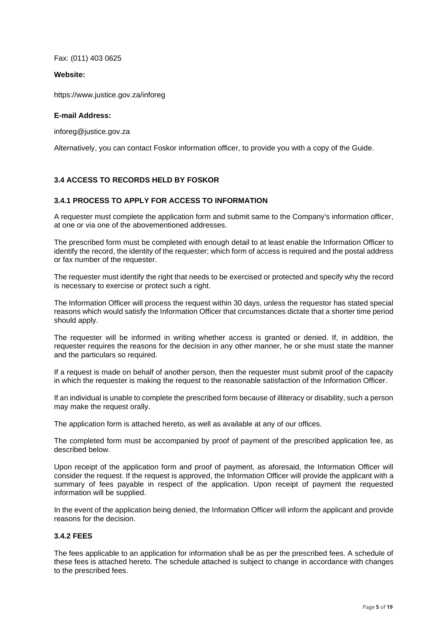Fax: (011) 403 0625

#### **Website:**

<https://www.justice.gov.za/inforeg>

#### **E-mail Address:**

[inforeg@justice.gov.za](mailto:inforeg@justice.gov.za)

Alternatively, you can contact Foskor information officer, to provide you with a copy of the Guide.

# **3.4 ACCESS TO RECORDS HELD BY FOSKOR**

#### **3.4.1 PROCESS TO APPLY FOR ACCESS TO INFORMATION**

A requester must complete the application form and submit same to the Company's information officer, at one or via one of the abovementioned addresses.

The prescribed form must be completed with enough detail to at least enable the Information Officer to identify the record, the identity of the requester; which form of access is required and the postal address or fax number of the requester.

The requester must identify the right that needs to be exercised or protected and specify why the record is necessary to exercise or protect such a right.

The Information Officer will process the request within 30 days, unless the requestor has stated special reasons which would satisfy the Information Officer that circumstances dictate that a shorter time period should apply.

The requester will be informed in writing whether access is granted or denied. If, in addition, the requester requires the reasons for the decision in any other manner, he or she must state the manner and the particulars so required.

If a request is made on behalf of another person, then the requester must submit proof of the capacity in which the requester is making the request to the reasonable satisfaction of the Information Officer.

If an individual is unable to complete the prescribed form because of illiteracy or disability, such a person may make the request orally.

The application form is attached hereto, as well as available at any of our offices.

The completed form must be accompanied by proof of payment of the prescribed application fee, as described below.

Upon receipt of the application form and proof of payment, as aforesaid, the Information Officer will consider the request. If the request is approved, the Information Officer will provide the applicant with a summary of fees payable in respect of the application. Upon receipt of payment the requested information will be supplied.

In the event of the application being denied, the Information Officer will inform the applicant and provide reasons for the decision.

#### **3.4.2 FEES**

The fees applicable to an application for information shall be as per the prescribed fees. A schedule of these fees is attached hereto. The schedule attached is subject to change in accordance with changes to the prescribed fees.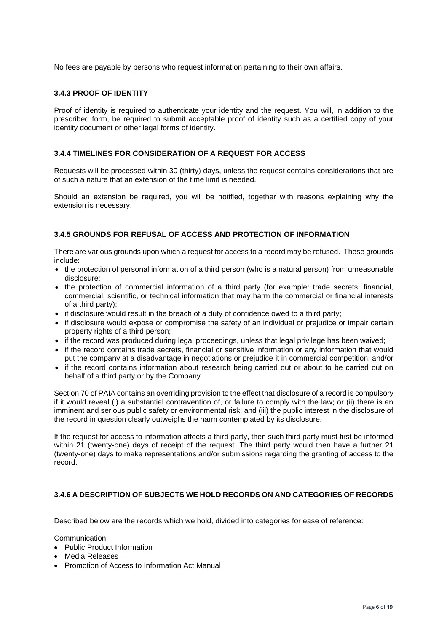No fees are payable by persons who request information pertaining to their own affairs.

#### **3.4.3 PROOF OF IDENTITY**

Proof of identity is required to authenticate your identity and the request. You will, in addition to the prescribed form, be required to submit acceptable proof of identity such as a certified copy of your identity document or other legal forms of identity.

#### **3.4.4 TIMELINES FOR CONSIDERATION OF A REQUEST FOR ACCESS**

Requests will be processed within 30 (thirty) days, unless the request contains considerations that are of such a nature that an extension of the time limit is needed.

Should an extension be required, you will be notified, together with reasons explaining why the extension is necessary.

#### **3.4.5 GROUNDS FOR REFUSAL OF ACCESS AND PROTECTION OF INFORMATION**

There are various grounds upon which a request for access to a record may be refused. These grounds include:

- the protection of personal information of a third person (who is a natural person) from unreasonable disclosure;
- the protection of commercial information of a third party (for example: trade secrets; financial, commercial, scientific, or technical information that may harm the commercial or financial interests of a third party);
- if disclosure would result in the breach of a duty of confidence owed to a third party;
- if disclosure would expose or compromise the safety of an individual or prejudice or impair certain property rights of a third person;
- if the record was produced during legal proceedings, unless that legal privilege has been waived;
- if the record contains trade secrets, financial or sensitive information or any information that would put the company at a disadvantage in negotiations or prejudice it in commercial competition; and/or
- if the record contains information about research being carried out or about to be carried out on behalf of a third party or by the Company.

Section 70 of PAIA contains an overriding provision to the effect that disclosure of a record is compulsory if it would reveal (i) a substantial contravention of, or failure to comply with the law; or (ii) there is an imminent and serious public safety or environmental risk; and (iii) the public interest in the disclosure of the record in question clearly outweighs the harm contemplated by its disclosure.

If the request for access to information affects a third party, then such third party must first be informed within 21 (twenty-one) days of receipt of the request. The third party would then have a further 21 (twenty-one) days to make representations and/or submissions regarding the granting of access to the record.

## **3.4.6 A DESCRIPTION OF SUBJECTS WE HOLD RECORDS ON AND CATEGORIES OF RECORDS**

Described below are the records which we hold, divided into categories for ease of reference:

**Communication** 

- Public Product Information
- Media Releases
- Promotion of Access to Information Act Manual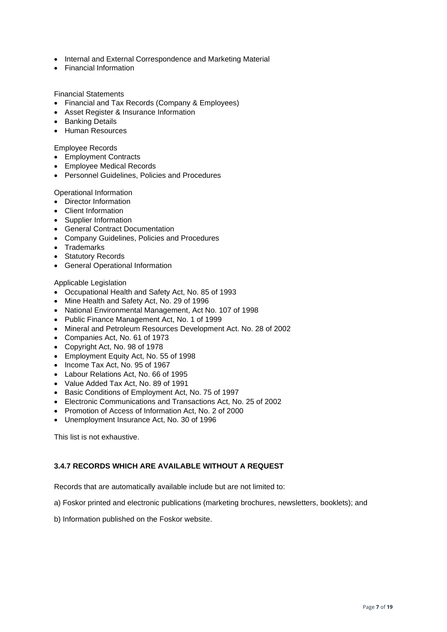- Internal and External Correspondence and Marketing Material
- Financial Information

Financial Statements

- Financial and Tax Records (Company & Employees)
- Asset Register & Insurance Information
- Banking Details
- Human Resources

Employee Records

- Employment Contracts
- Employee Medical Records
- Personnel Guidelines, Policies and Procedures

Operational Information

- Director Information
- Client Information
- Supplier Information
- General Contract Documentation
- Company Guidelines, Policies and Procedures
- Trademarks
- Statutory Records
- General Operational Information

#### Applicable Legislation

- Occupational Health and Safety Act, No. 85 of 1993
- Mine Health and Safety Act, No. 29 of 1996
- National Environmental Management, Act No. 107 of 1998
- Public Finance Management Act, No. 1 of 1999
- Mineral and Petroleum Resources Development Act. No. 28 of 2002
- Companies Act, No. 61 of 1973
- Copyright Act, No. 98 of 1978
- Employment Equity Act, No. 55 of 1998
- Income Tax Act, No. 95 of 1967
- Labour Relations Act, No. 66 of 1995
- Value Added Tax Act, No. 89 of 1991
- Basic Conditions of Employment Act, No. 75 of 1997
- Electronic Communications and Transactions Act, No. 25 of 2002
- Promotion of Access of Information Act, No. 2 of 2000
- Unemployment Insurance Act, No. 30 of 1996

This list is not exhaustive.

# **3.4.7 RECORDS WHICH ARE AVAILABLE WITHOUT A REQUEST**

Records that are automatically available include but are not limited to:

a) Foskor printed and electronic publications (marketing brochures, newsletters, booklets); and

b) Information published on the Foskor website.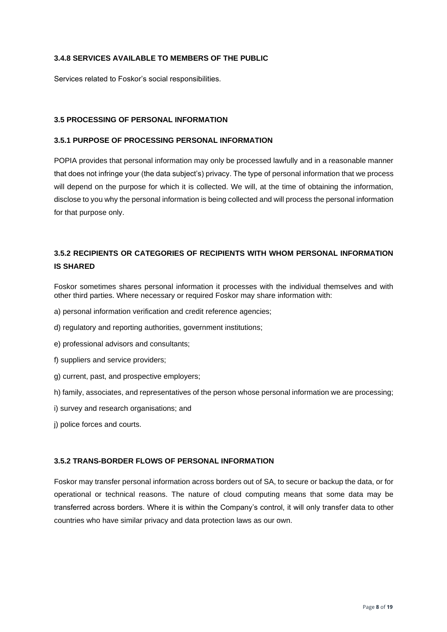# **3.4.8 SERVICES AVAILABLE TO MEMBERS OF THE PUBLIC**

Services related to Foskor's social responsibilities.

## **3.5 PROCESSING OF PERSONAL INFORMATION**

## **3.5.1 PURPOSE OF PROCESSING PERSONAL INFORMATION**

POPIA provides that personal information may only be processed lawfully and in a reasonable manner that does not infringe your (the data subject's) privacy. The type of personal information that we process will depend on the purpose for which it is collected. We will, at the time of obtaining the information, disclose to you why the personal information is being collected and will process the personal information for that purpose only.

# **3.5.2 RECIPIENTS OR CATEGORIES OF RECIPIENTS WITH WHOM PERSONAL INFORMATION IS SHARED**

Foskor sometimes shares personal information it processes with the individual themselves and with other third parties. Where necessary or required Foskor may share information with:

- a) personal information verification and credit reference agencies;
- d) regulatory and reporting authorities, government institutions;
- e) professional advisors and consultants;
- f) suppliers and service providers;
- g) current, past, and prospective employers;
- h) family, associates, and representatives of the person whose personal information we are processing;
- i) survey and research organisations; and
- j) police forces and courts.

## **3.5.2 TRANS-BORDER FLOWS OF PERSONAL INFORMATION**

Foskor may transfer personal information across borders out of SA, to secure or backup the data, or for operational or technical reasons. The nature of cloud computing means that some data may be transferred across borders. Where it is within the Company's control, it will only transfer data to other countries who have similar privacy and data protection laws as our own.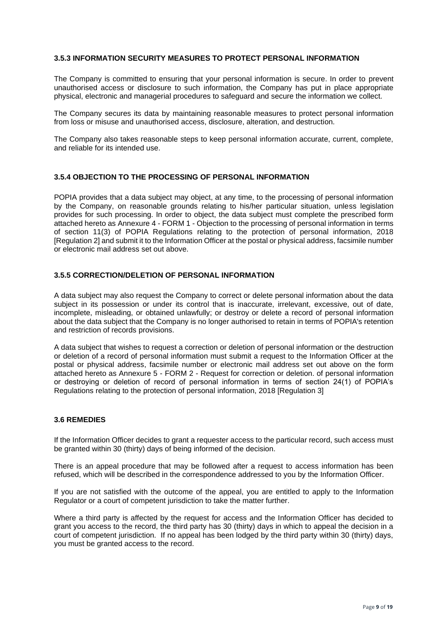#### **3.5.3 INFORMATION SECURITY MEASURES TO PROTECT PERSONAL INFORMATION**

The Company is committed to ensuring that your personal information is secure. In order to prevent unauthorised access or disclosure to such information, the Company has put in place appropriate physical, electronic and managerial procedures to safeguard and secure the information we collect.

The Company secures its data by maintaining reasonable measures to protect personal information from loss or misuse and unauthorised access, disclosure, alteration, and destruction.

The Company also takes reasonable steps to keep personal information accurate, current, complete, and reliable for its intended use.

#### **3.5.4 OBJECTION TO THE PROCESSING OF PERSONAL INFORMATION**

POPIA provides that a data subject may object, at any time, to the processing of personal information by the Company, on reasonable grounds relating to his/her particular situation, unless legislation provides for such processing. In order to object, the data subject must complete the prescribed form attached hereto as Annexure 4 - FORM 1 - Objection to the processing of personal information in terms of section 11(3) of POPIA Regulations relating to the protection of personal information, 2018 [Regulation 2] and submit it to the Information Officer at the postal or physical address, facsimile number or electronic mail address set out above.

# **3.5.5 CORRECTION/DELETION OF PERSONAL INFORMATION**

A data subject may also request the Company to correct or delete personal information about the data subject in its possession or under its control that is inaccurate, irrelevant, excessive, out of date, incomplete, misleading, or obtained unlawfully; or destroy or delete a record of personal information about the data subject that the Company is no longer authorised to retain in terms of POPIA's retention and restriction of records provisions.

A data subject that wishes to request a correction or deletion of personal information or the destruction or deletion of a record of personal information must submit a request to the Information Officer at the postal or physical address, facsimile number or electronic mail address set out above on the form attached hereto as Annexure 5 - FORM 2 - Request for correction or deletion. of personal information or destroying or deletion of record of personal information in terms of section 24(1) of POPIA's Regulations relating to the protection of personal information, 2018 [Regulation 3]

#### **3.6 REMEDIES**

If the Information Officer decides to grant a requester access to the particular record, such access must be granted within 30 (thirty) days of being informed of the decision.

There is an appeal procedure that may be followed after a request to access information has been refused, which will be described in the correspondence addressed to you by the Information Officer.

If you are not satisfied with the outcome of the appeal, you are entitled to apply to the Information Regulator or a court of competent jurisdiction to take the matter further.

Where a third party is affected by the request for access and the Information Officer has decided to grant you access to the record, the third party has 30 (thirty) days in which to appeal the decision in a court of competent jurisdiction. If no appeal has been lodged by the third party within 30 (thirty) days, you must be granted access to the record.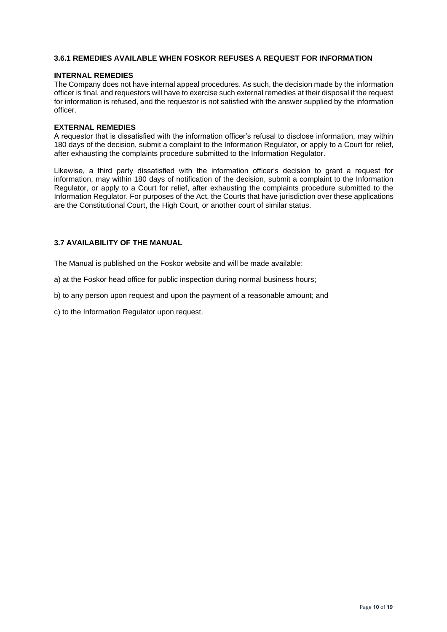#### **3.6.1 REMEDIES AVAILABLE WHEN FOSKOR REFUSES A REQUEST FOR INFORMATION**

#### **INTERNAL REMEDIES**

The Company does not have internal appeal procedures. As such, the decision made by the information officer is final, and requestors will have to exercise such external remedies at their disposal if the request for information is refused, and the requestor is not satisfied with the answer supplied by the information officer.

#### **EXTERNAL REMEDIES**

A requestor that is dissatisfied with the information officer's refusal to disclose information, may within 180 days of the decision, submit a complaint to the Information Regulator, or apply to a Court for relief, after exhausting the complaints procedure submitted to the Information Regulator.

Likewise, a third party dissatisfied with the information officer's decision to grant a request for information, may within 180 days of notification of the decision, submit a complaint to the Information Regulator, or apply to a Court for relief, after exhausting the complaints procedure submitted to the Information Regulator. For purposes of the Act, the Courts that have jurisdiction over these applications are the Constitutional Court, the High Court, or another court of similar status.

#### **3.7 AVAILABILITY OF THE MANUAL**

The Manual is published on the Foskor website and will be made available:

a) at the Foskor head office for public inspection during normal business hours;

b) to any person upon request and upon the payment of a reasonable amount; and

c) to the Information Regulator upon request.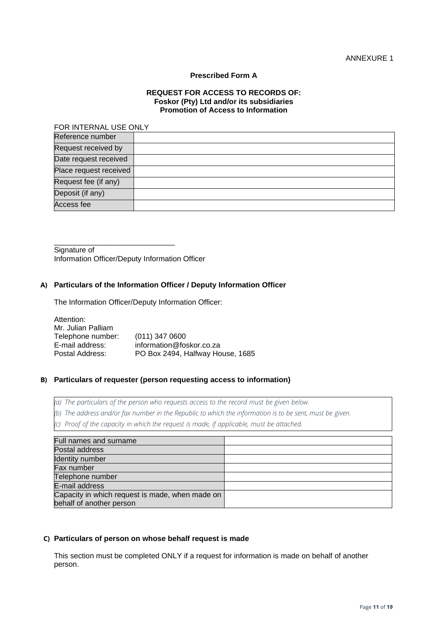#### **Prescribed Form A**

#### **REQUEST FOR ACCESS TO RECORDS OF: Foskor (Pty) Ltd and/or its subsidiaries Promotion of Access to Information**

#### FOR INTERNAL USE ONLY

| Reference number       |  |
|------------------------|--|
| Request received by    |  |
| Date request received  |  |
| Place request received |  |
| Request fee (if any)   |  |
| Deposit (if any)       |  |
| Access fee             |  |

Signature of Information Officer/Deputy Information Officer

\_\_\_\_\_\_\_\_\_\_\_\_\_\_\_\_\_\_\_\_\_\_\_\_\_\_\_\_\_

#### **A) Particulars of the Information Officer / Deputy Information Officer**

The Information Officer/Deputy Information Officer:

Attention: Mr. Julian Palliam Telephone number: (011) 347 0600<br>E-mail address: information@fos E-mail address: information@foskor.co.za PO Box 2494, Halfway House, 1685

#### **B) Particulars of requester (person requesting access to information)**

*(a) The particulars of the person who requests access to the record must be given below.*

*(b) The address and/or fax number in the Republic to which the information is to be sent, must be given.*

*(c) Proof of the capacity in which the request is made, if applicable, must be attached.*

| Full names and surname                          |  |
|-------------------------------------------------|--|
| Postal address                                  |  |
| <b>Identity number</b>                          |  |
| Fax number                                      |  |
| Telephone number                                |  |
| E-mail address                                  |  |
| Capacity in which request is made, when made on |  |
| behalf of another person                        |  |

#### **C) Particulars of person on whose behalf request is made**

This section must be completed ONLY if a request for information is made on behalf of another person.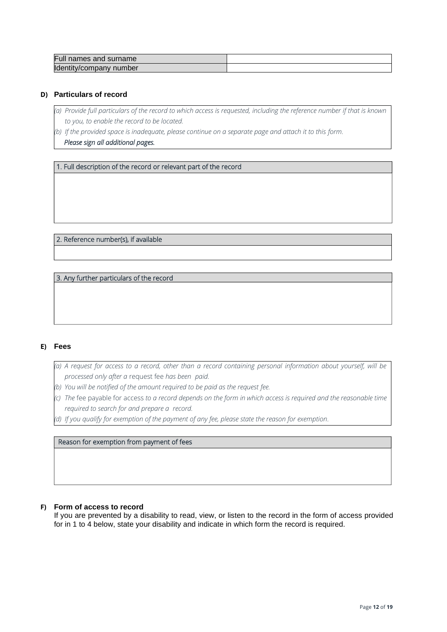| Full names and surname  |  |
|-------------------------|--|
| Identity/company number |  |

#### **D) Particulars of record**

- *(a) Provide full particulars of the record to which access is requested, including the reference number if that is known to you, to enable the record to be located.*
- *(b) If the provided space is inadequate, please continue on a separate page and attach it to this form.*

 *Please sign all additional pages.* 

1. Full description of the record or relevant part of the record

2. Reference number(s), if available

3. Any further particulars of the record

#### **E) Fees**

- *(a) A request for access to a record, other than a record containing personal information about yourself, will be processed only after a* request fee *has been paid.*
- *(b) You will be notified of the amount required to be paid as the request fee.*
- *(c) The* fee payable for access *to a record depends on the form in which access is required and the reasonable time required to search for and prepare a record.*
- *(d) If you qualify for exemption of the payment of any fee, please state the reason for exemption.*

Reason for exemption from payment of fees

#### **F) Form of access to record**

If you are prevented by a disability to read, view, or listen to the record in the form of access provided for in 1 to 4 below, state your disability and indicate in which form the record is required.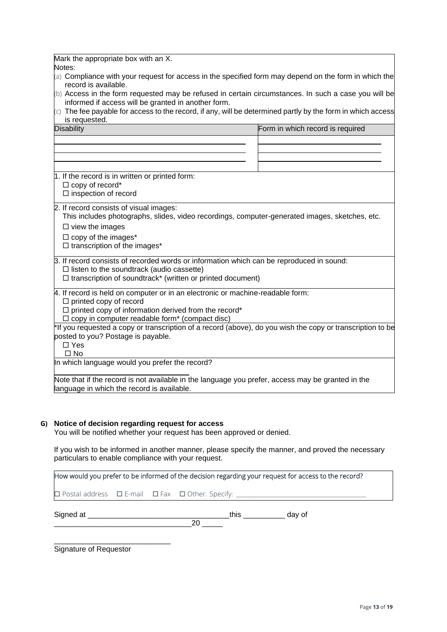|  | Mark the appropriate box with an X. |  |  |  |  |
|--|-------------------------------------|--|--|--|--|
|--|-------------------------------------|--|--|--|--|

Notes:

- (a) Compliance with your request for access in the specified form may depend on the form in which the record is available.
- $(b)$  Access in the form requested may be refused in certain circumstances. In such a case you will be informed if access will be granted in another form.
- $(c)$  The fee payable for access to the record, if any, will be determined partly by the form in which access is requested.

| <b>Disability</b>                                                 | Form in which record is required                                                                           |
|-------------------------------------------------------------------|------------------------------------------------------------------------------------------------------------|
|                                                                   |                                                                                                            |
|                                                                   |                                                                                                            |
|                                                                   |                                                                                                            |
| 1. If the record is in written or printed form:                   |                                                                                                            |
| $\Box$ copy of record*                                            |                                                                                                            |
| $\square$ inspection of record                                    |                                                                                                            |
| 2. If record consists of visual images:                           |                                                                                                            |
|                                                                   | This includes photographs, slides, video recordings, computer-generated images, sketches, etc.             |
| $\Box$ view the images                                            |                                                                                                            |
| $\Box$ copy of the images*                                        |                                                                                                            |
| $\Box$ transcription of the images*                               |                                                                                                            |
|                                                                   | 3. If record consists of recorded words or information which can be reproduced in sound:                   |
| $\Box$ listen to the soundtrack (audio cassette)                  |                                                                                                            |
| $\Box$ transcription of soundtrack* (written or printed document) |                                                                                                            |
|                                                                   | 4. If record is held on computer or in an electronic or machine-readable form:                             |
| $\Box$ printed copy of record                                     |                                                                                                            |
| $\Box$ printed copy of information derived from the record*       |                                                                                                            |
| $\Box$ copy in computer readable form* (compact disc)             |                                                                                                            |
| posted to you? Postage is payable.                                | *If you requested a copy or transcription of a record (above), do you wish the copy or transcription to be |
| $\Box$ Yes                                                        |                                                                                                            |
| $\square$ No                                                      |                                                                                                            |
| In which language would you prefer the record?                    |                                                                                                            |
|                                                                   |                                                                                                            |
| language in which the record is available.                        | Note that if the record is not available in the language you prefer, access may be granted in the          |
|                                                                   |                                                                                                            |

## **G) Notice of decision regarding request for access**

You will be notified whether your request has been approved or denied.

If you wish to be informed in another manner, please specify the manner, and proved the necessary particulars to enable compliance with your request.

How would you prefer to be informed of the decision regarding your request for access to the record?

Postal address E-mail Fax Other. Specify: \_\_\_\_\_\_\_\_\_\_\_\_\_\_\_\_\_\_\_\_\_\_\_\_\_\_\_\_\_\_\_\_\_\_\_\_\_\_\_\_\_\_\_\_\_

Signed at \_\_\_\_\_\_\_\_\_\_\_\_\_\_\_\_\_\_\_\_\_\_\_\_\_\_\_\_\_\_\_\_\_\_this \_\_\_\_\_\_\_\_\_\_ day of \_\_\_\_\_\_\_\_\_\_\_\_\_\_\_\_\_\_\_\_\_\_\_\_\_\_\_\_\_\_\_\_\_20 \_\_\_\_\_

\_\_\_\_\_\_\_\_\_\_\_\_\_\_\_\_\_\_\_\_\_\_\_\_\_\_\_\_ Signature of Requestor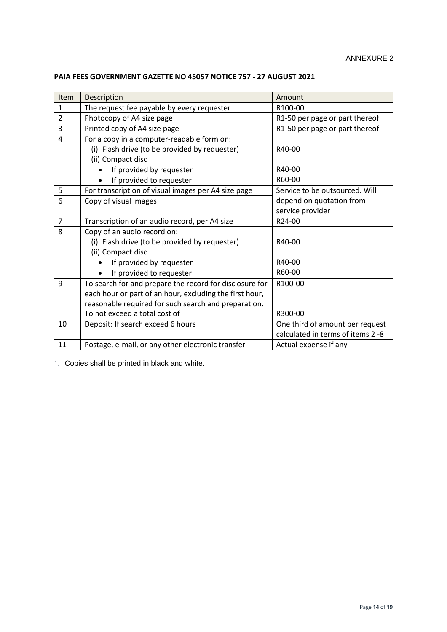| Item           | Description                                             | Amount                            |  |  |
|----------------|---------------------------------------------------------|-----------------------------------|--|--|
| $\mathbf{1}$   | The request fee payable by every requester              | R100-00                           |  |  |
| $\overline{2}$ | Photocopy of A4 size page                               | R1-50 per page or part thereof    |  |  |
| 3              | Printed copy of A4 size page                            | R1-50 per page or part thereof    |  |  |
| 4              | For a copy in a computer-readable form on:              |                                   |  |  |
|                | (i) Flash drive (to be provided by requester)           | R40-00                            |  |  |
|                | (ii) Compact disc                                       |                                   |  |  |
|                | If provided by requester                                | R40-00                            |  |  |
|                | If provided to requester                                | R60-00                            |  |  |
| 5              | For transcription of visual images per A4 size page     | Service to be outsourced. Will    |  |  |
| 6              | Copy of visual images                                   | depend on quotation from          |  |  |
|                |                                                         | service provider                  |  |  |
| $\overline{7}$ | Transcription of an audio record, per A4 size           | R24-00                            |  |  |
| 8              | Copy of an audio record on:                             |                                   |  |  |
|                | (i) Flash drive (to be provided by requester)           | R40-00                            |  |  |
|                | (ii) Compact disc                                       |                                   |  |  |
|                | If provided by requester                                | R40-00                            |  |  |
|                | If provided to requester                                | R60-00                            |  |  |
| 9              | To search for and prepare the record for disclosure for | R100-00                           |  |  |
|                | each hour or part of an hour, excluding the first hour, |                                   |  |  |
|                | reasonable required for such search and preparation.    |                                   |  |  |
|                | To not exceed a total cost of                           | R300-00                           |  |  |
| 10             | Deposit: If search exceed 6 hours                       | One third of amount per request   |  |  |
|                |                                                         | calculated in terms of items 2 -8 |  |  |
| 11             | Postage, e-mail, or any other electronic transfer       | Actual expense if any             |  |  |

# **PAIA FEES GOVERNMENT GAZETTE NO 45057 NOTICE 757 - 27 AUGUST 2021**

1. Copies shall be printed in black and white.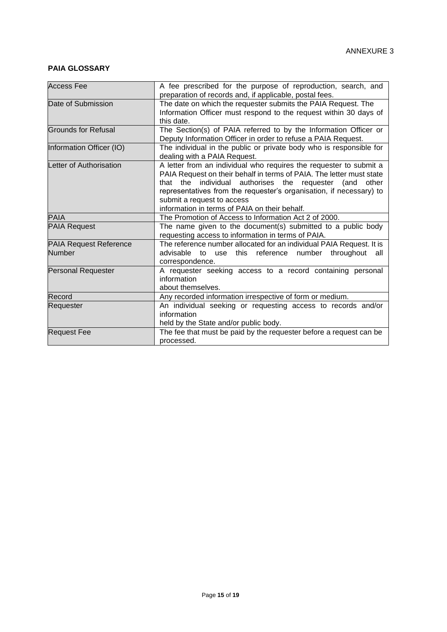# **PAIA GLOSSARY**

| <b>Access Fee</b>                              | A fee prescribed for the purpose of reproduction, search, and<br>preparation of records and, if applicable, postal fees.                                                                                                                                                                                                                                       |
|------------------------------------------------|----------------------------------------------------------------------------------------------------------------------------------------------------------------------------------------------------------------------------------------------------------------------------------------------------------------------------------------------------------------|
| Date of Submission                             | The date on which the requester submits the PAIA Request. The<br>Information Officer must respond to the request within 30 days of<br>this date.                                                                                                                                                                                                               |
| Grounds for Refusal                            | The Section(s) of PAIA referred to by the Information Officer or<br>Deputy Information Officer in order to refuse a PAIA Request.                                                                                                                                                                                                                              |
| Information Officer (IO)                       | The individual in the public or private body who is responsible for<br>dealing with a PAIA Request.                                                                                                                                                                                                                                                            |
| Letter of Authorisation                        | A letter from an individual who requires the requester to submit a<br>PAIA Request on their behalf in terms of PAIA. The letter must state<br>that the individual authorises the requester (and<br>other<br>representatives from the requester's organisation, if necessary) to<br>submit a request to access<br>information in terms of PAIA on their behalf. |
| <b>PAIA</b>                                    | The Promotion of Access to Information Act 2 of 2000.                                                                                                                                                                                                                                                                                                          |
| <b>PAIA Request</b>                            | The name given to the document(s) submitted to a public body<br>requesting access to information in terms of PAIA.                                                                                                                                                                                                                                             |
| <b>PAIA Request Reference</b><br><b>Number</b> | The reference number allocated for an individual PAIA Request. It is<br>advisable to use this reference number throughout<br>all<br>correspondence.                                                                                                                                                                                                            |
| <b>Personal Requester</b>                      | A requester seeking access to a record containing personal<br>information<br>about themselves.                                                                                                                                                                                                                                                                 |
| Record                                         | Any recorded information irrespective of form or medium.                                                                                                                                                                                                                                                                                                       |
| Requester                                      | An individual seeking or requesting access to records and/or<br>information<br>held by the State and/or public body.                                                                                                                                                                                                                                           |
| <b>Request Fee</b>                             | The fee that must be paid by the requester before a request can be                                                                                                                                                                                                                                                                                             |
|                                                | processed.                                                                                                                                                                                                                                                                                                                                                     |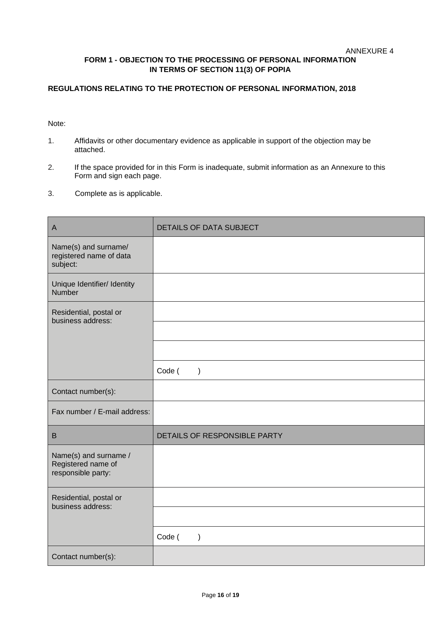# **FORM 1 - OBJECTION TO THE PROCESSING OF PERSONAL INFORMATION IN TERMS OF SECTION 11(3) OF POPIA**

# **REGULATIONS RELATING TO THE PROTECTION OF PERSONAL INFORMATION, 2018**

Note:

- 1. Affidavits or other documentary evidence as applicable in support of the objection may be attached.
- 2. If the space provided for in this Form is inadequate, submit information as an Annexure to this Form and sign each page.
- 3. Complete as is applicable.

| $\mathsf A$                                                       | DETAILS OF DATA SUBJECT      |
|-------------------------------------------------------------------|------------------------------|
| Name(s) and surname/<br>registered name of data<br>subject:       |                              |
| Unique Identifier/ Identity<br><b>Number</b>                      |                              |
| Residential, postal or<br>business address:                       |                              |
|                                                                   |                              |
|                                                                   |                              |
|                                                                   | Code (<br>$\mathcal{E}$      |
| Contact number(s):                                                |                              |
| Fax number / E-mail address:                                      |                              |
| B                                                                 | DETAILS OF RESPONSIBLE PARTY |
| Name(s) and surname /<br>Registered name of<br>responsible party: |                              |
| Residential, postal or<br>business address:                       |                              |
|                                                                   |                              |
|                                                                   | Code (<br>$\mathcal{E}$      |
| Contact number(s):                                                |                              |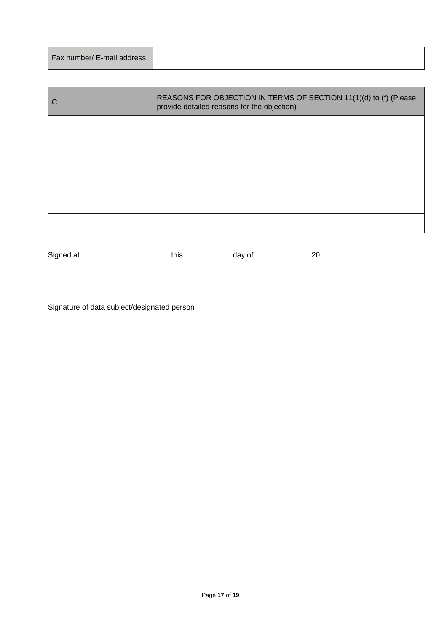|--|

| REASONS FOR OBJECTION IN TERMS OF SECTION 11(1)(d) to (f) (Please<br>provide detailed reasons for the objection) |
|------------------------------------------------------------------------------------------------------------------|
|                                                                                                                  |
|                                                                                                                  |
|                                                                                                                  |
|                                                                                                                  |
|                                                                                                                  |
|                                                                                                                  |

Signed at .......................................... this ...................... day of ...........................20………...

.........................................................................

Signature of data subject/designated person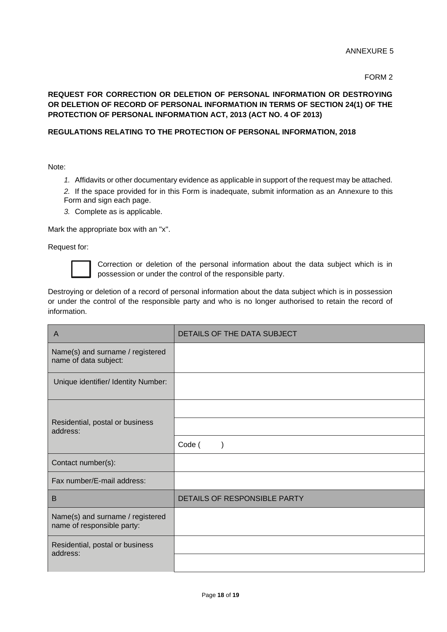#### FORM 2

# **REQUEST FOR CORRECTION OR DELETION OF PERSONAL INFORMATION OR DESTROYING OR DELETION OF RECORD OF PERSONAL INFORMATION IN TERMS OF SECTION 24(1) OF THE PROTECTION OF PERSONAL INFORMATION ACT, 2013 (ACT NO. 4 OF 2013)**

## **REGULATIONS RELATING TO THE PROTECTION OF PERSONAL INFORMATION, 2018**

Note:

*1.* Affidavits or other documentary evidence as applicable in support of the request may be attached.

*2.* If the space provided for in this Form is inadequate, submit information as an Annexure to this Form and sign each page.

*3.* Complete as is applicable.

Mark the appropriate box with an "x".

Request for:



Correction or deletion of the personal information about the data subject which is in possession or under the control of the responsible party.

Destroying or deletion of a record of personal information about the data subject which is in possession or under the control of the responsible party and who is no longer authorised to retain the record of information.

| A                                                              | DETAILS OF THE DATA SUBJECT  |
|----------------------------------------------------------------|------------------------------|
| Name(s) and surname / registered<br>name of data subject:      |                              |
| Unique identifier/ Identity Number:                            |                              |
|                                                                |                              |
| Residential, postal or business<br>address:                    |                              |
|                                                                | Code (                       |
| Contact number(s):                                             |                              |
| Fax number/E-mail address:                                     |                              |
| B                                                              | DETAILS OF RESPONSIBLE PARTY |
| Name(s) and surname / registered<br>name of responsible party: |                              |
| Residential, postal or business<br>address:                    |                              |
|                                                                |                              |